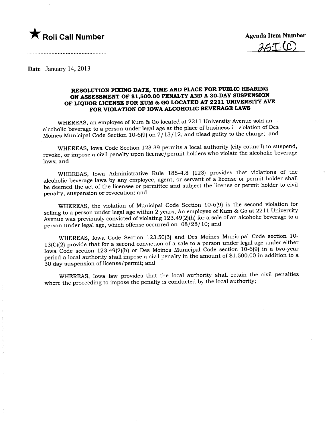

 $2c$ . $T(P)$ 

Date January 14, 2013

## RESOLUTION FIXNG DATE, TIME AND PLACE FOR PUBLIC HEARNG ON ASSESSMENT OF \$1,500.00 PENALTY AND A 30-DAY SUSPENSION OF LIQUOR LICENSE FOR KUM & GO LOCATED AT 2211 UNIVERSITY AVE FOR VIOLATION OF IOWA ALCOHOLIC BEVERAGE LAWS

WHEREAS, an employee of Kum & Go located at 2211 University Avenue sold an alcoholic beverage to a person under legal age at the place of business in violation of Des Moines Municipal Code Section 10-6(9) on 7/13/12, and plead guilty to the charge; and

WHEREAS, Iowa Code Section 123.39 permits a local authority (city council) to suspend, revoke, or impose a civil penalty upon license/permit holders who violate the alcoholic beverage laws; and

WHEREAS, Iowa Administrative Rule 185-4.8 (123) provides that violations of the alcoholic beverage laws by any employee, agent, or servant of a license or permit holder shall be deemed the act of the licensee or permittee and subject the license or permit holder to civil penalty, suspension or revocation; and

WHEREAS, the violation of Municipal Code Section 10-6(9) is the second violation for selling to a person under legal age within 2 years; An employee of Kum & Go at 2211 University Avenue was previously convicted of violating 123.49(2)(h) for a sale of an alcoholic beverage to a person under legal age, which offense occurred on 08/28/10; and

WHEREAS, Iowa Code Section 123.50(3) and Des Moines Municipal Code section 10- 13(C)(2) provide that for a second conviction of a sale to a person under legal age under either Iowa Code section 123.49(2)(h) or Des Moines Municipal Code section 10-6(9) in a two-year period a local authority shall impose a civil penalty in the amount of \$1,500.00 in addition to a 30 day suspension of license/permit; and

WHEREAS, Iowa law provides that the local authority shall retain the civil penalties where the proceeding to impose the penalty is conducted by the local authority;